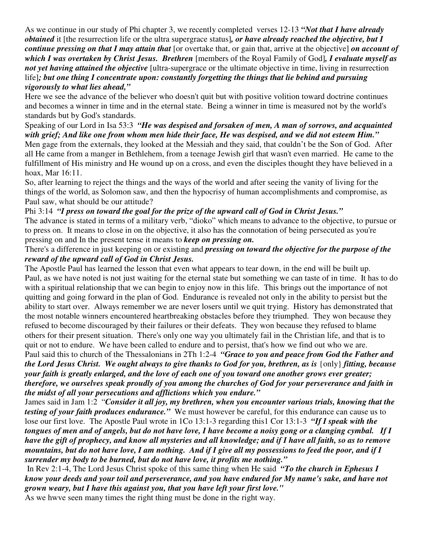As we continue in our study of Phi chapter 3, we recently completed verses 12-13 *"Not that I have already obtained* it [the resurrection life or the ultra supergrace status]*, or have already reached the objective, but I continue pressing on that I may attain that* [or overtake that, or gain that, arrive at the objective] *on account of which I was overtaken by Christ Jesus. Brethren* [members of the Royal Family of God]*, I evaluate myself as not yet having attained the objective* [ultra-supergrace or the ultimate objective in time, living in resurrection life]*; but one thing I concentrate upon: constantly forgetting the things that lie behind and pursuing vigorously to what lies ahead,"*

Here we see the advance of the believer who doesn't quit but with positive volition toward doctrine continues and becomes a winner in time and in the eternal state. Being a winner in time is measured not by the world's standards but by God's standards.

## Speaking of our Lord in Isa 53:3 *"He was despised and forsaken of men, A man of sorrows, and acquainted* with grief; And like one from whom men hide their face, He was despised, and we did not esteem Him." Men gage from the externals, they looked at the Messiah and they said, that couldn't be the Son of God. After all He came from a manger in Bethlehem, from a teenage Jewish girl that wasn't even married. He came to the fulfillment of His ministry and He wound up on a cross, and even the disciples thought they have believed in a hoax, Mar 16:11.

So, after learning to reject the things and the ways of the world and after seeing the vanity of living for the things of the world, as Solomon saw, and then the hypocrisy of human accomplishments and compromise, as Paul saw, what should be our attitude?

## Phi 3:14 *"I press on toward the goal for the prize of the upward call of God in Christ Jesus."*

The advance is stated in terms of a military verb, "dioko" which means to advance to the objective, to pursue or to press on. It means to close in on the objective, it also has the connotation of being persecuted as you're pressing on and In the present tense it means to *keep on pressing on.*

## There's a difference in just keeping on or existing and *pressing on toward the objective for the purpose of the reward of the upward call of God in Christ Jesus.*

The Apostle Paul has learned the lesson that even what appears to tear down, in the end will be built up. Paul, as we have noted is not just waiting for the eternal state but something we can taste of in time. It has to do with a spiritual relationship that we can begin to enjoy now in this life. This brings out the importance of not quitting and going forward in the plan of God. Endurance is revealed not only in the ability to persist but the ability to start over. Always remember we are never losers until we quit trying. History has demonstrated that the most notable winners encountered heartbreaking obstacles before they triumphed. They won because they refused to become discouraged by their failures or their defeats. They won because they refused to blame others for their present situation. There's only one way you ultimately fail in the Christian life, and that is to quit or not to endure. We have been called to endure and to persist, that's how we find out who we are.

Paul said this to church of the Thessalonians in 2Th 1:2-4 *"Grace to you and peace from God the Father and* the Lord Jesus Christ. We ought always to give thanks to God for you, brethren, as is {only} fitting, because your faith is greatly enlarged, and the love of each one of you toward one another grows ever greater; therefore, we ourselves speak proudly of you among the churches of God for your perseverance and faith in *the midst of all your persecutions and afflictions which you endure."*

James said in Jam 1:2 "*Consider it all joy, my brethren, when you encounter various trials, knowing that the testing of your faith produces endurance."* We must however be careful, for this endurance can cause us to lose our first love. The Apostle Paul wrote in 1Co 13:1-3 regarding this1 Cor 13:1-3 *"If I speak with the* tongues of men and of angels, but do not have love, I have become a noisy gong or a clanging cymbal. If I have the gift of prophecy, and know all mysteries and all knowledge; and if I have all faith, so as to remove mountains, but do not have love, I am nothing. And if I give all my possessions to feed the poor, and if I *surrender my body to be burned, but do not have love, it profits me nothing."*

In Rev 2:1-4, The Lord Jesus Christ spoke of this same thing when He said *"To the church in Ephesus I* know your deeds and your toil and perseverance, and you have endured for My name's sake, and have not *grown weary, but I have this against you, that you have left your first love."*

As we hwve seen many times the right thing must be done in the right way.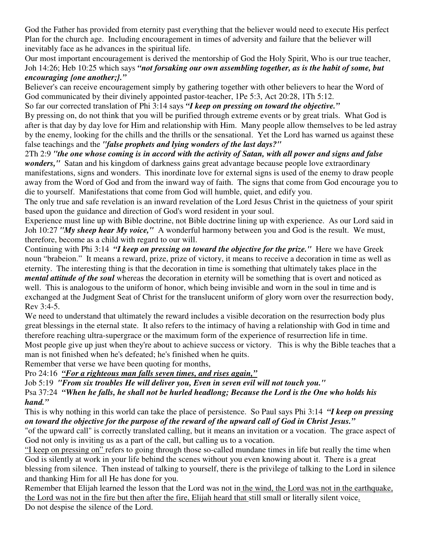God the Father has provided from eternity past everything that the believer would need to execute His perfect Plan for the church age. Including encouragement in times of adversity and failure that the believer will inevitably face as he advances in the spiritual life.

Our most important encouragement is derived the mentorship of God the Holy Spirit, Who is our true teacher, Joh 14:26; Heb 10:25 which says *"not forsaking our own assembling together, as is the habit of some, but encouraging {one another;}."*

Believer's can receive encouragement simply by gathering together with other believers to hear the Word of God communicated by their divinely appointed pastor-teacher, 1Pe 5:3, Act 20:28, 1Th 5:12.

So far our corrected translation of Phi 3:14 says *"I keep on pressing on toward the objective."*

By pressing on, do not think that you will be purified through extreme events or by great trials. What God is after is that day by day love for Him and relationship with Him. Many people allow themselves to be led astray by the enemy, looking for the chills and the thrills or the sensational. Yet the Lord has warned us against these false teachings and the *"false prophets and lying wonders of the last days?"*

2Th 2:9 "the one whose coming is in accord with the activity of Satan, with all power and signs and false *wonders,"* Satan and his kingdom of darkness gains great advantage because people love extraordinary manifestations, signs and wonders. This inordinate love for external signs is used of the enemy to draw people away from the Word of God and from the inward way of faith. The signs that come from God encourage you to die to yourself. Manifestations that come from God will humble, quiet, and edify you.

The only true and safe revelation is an inward revelation of the Lord Jesus Christ in the quietness of your spirit based upon the guidance and direction of God's word resident in your soul.

Experience must line up with Bible doctrine, not Bible doctrine lining up with experience. As our Lord said in Joh 10:27 *"My sheep hear My voice,"* A wonderful harmony between you and God is the result. We must, therefore, become as a child with regard to our will.

Continuing with Phi 3:14 *"I keep on pressing on toward the objective for the prize."* Here we have Greek noun "brabeion." It means a reward, prize, prize of victory, it means to receive a decoration in time as well as eternity. The interesting thing is that the decoration in time is something that ultimately takes place in the *mental attitude of the soul* whereas the decoration in eternity will be something that is overt and noticed as well. This is analogous to the uniform of honor, which being invisible and worn in the soul in time and is exchanged at the Judgment Seat of Christ for the translucent uniform of glory worn over the resurrection body, Rev 3:4-5.

We need to understand that ultimately the reward includes a visible decoration on the resurrection body plus great blessings in the eternal state. It also refers to the intimacy of having a relationship with God in time and therefore reaching ultra-supergrace or the maximum form of the experience of resurrection life in time. Most people give up just when they're about to achieve success or victory. This is why the Bible teaches that a

man is not finished when he's defeated; he's finished when he quits.

Remember that verse we have been quoting for months,

Pro 24:16 *"For a righteous man falls seven times, and rises again,"*

Job 5:19 *"From six troubles He will deliver you, Even in seven evil will not touch you."*

Psa 37:24 "When he falls, he shall not be hurled headlong; Because the Lord is the One who holds his *hand."*

This is why nothing in this world can take the place of persistence. So Paul says Phi 3:14 *"I keep on pressing* on toward the objective for the purpose of the reward of the upward call of God in Christ Jesus."

"of the upward call" is correctly translated calling, but it means an invitation or a vocation. The grace aspect of God not only is inviting us as a part of the call, but calling us to a vocation.

"I keep on pressing on" refers to going through those so-called mundane times in life but really the time when God is silently at work in your life behind the scenes without you even knowing about it. There is a great blessing from silence. Then instead of talking to yourself, there is the privilege of talking to the Lord in silence and thanking Him for all He has done for you.

Remember that Elijah learned the lesson that the Lord was not in the wind, the Lord was not in the earthquake, the Lord was not in the fire but then after the fire, Elijah heard that still small or literally silent voice. Do not despise the silence of the Lord.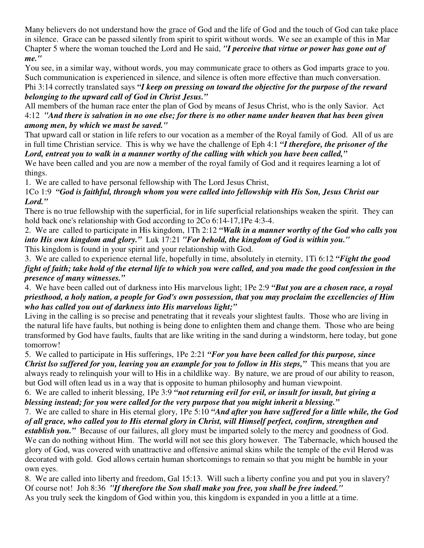Many believers do not understand how the grace of God and the life of God and the touch of God can take place in silence. Grace can be passed silently from spirit to spirit without words. We see an example of this in Mar Chapter 5 where the woman touched the Lord and He said, *"I perceive that virtue or power has gone out of me."*

You see, in a similar way, without words, you may communicate grace to others as God imparts grace to you. Such communication is experienced in silence, and silence is often more effective than much conversation. Phi 3:14 correctly translated says *"I keep on pressing on toward the objective for the purpose of the reward belonging to the upward call of God in Christ Jesus."*

All members of the human race enter the plan of God by means of Jesus Christ, who is the only Savior. Act 4:12 "And there is salvation in no one else; for there is no other name under heaven that has been given *among men, by which we must be saved."*

That upward call or station in life refers to our vocation as a member of the Royal family of God. All of us are in full time Christian service. This is why we have the challenge of Eph 4:1 *"I therefore, the prisoner of the Lord, entreat you to walk in a manner worthy of the calling with which you have been called,"*

We have been called and you are now a member of the royal family of God and it requires learning a lot of things.

1. We are called to have personal fellowship with The Lord Jesus Christ,

1Co 1:9 *"God is faithful, through whom you were called into fellowship with His Son, Jesus Christ our Lord."*

There is no true fellowship with the superficial, for in life superficial relationships weaken the spirit. They can hold back one's relationship with God according to 2Co 6:14-17,1Pe 4:3-4.

2. We are called to participate in His kingdom, 1Th 2:12 *"Walk in a manner worthy of the God who calls you into His own kingdom and glory."* Luk 17:21 *"For behold, the kingdom of God is within you."*

This kingdom is found in your spirit and your relationship with God.

3. We are called to experience eternal life, hopefully in time, absolutely in eternity, 1Ti 6:12 *"Fight the good* fight of faith; take hold of the eternal life to which you were called, and you made the good confession in the *presence of many witnesses."*

4. We have been called out of darkness into His marvelous light; 1Pe 2:9 *"But you are a chosen race, a royal* priesthood, a holy nation, a people for God's own possession, that you may proclaim the excellencies of Him *who has called you out of darkness into His marvelous light;"*

Living in the calling is so precise and penetrating that it reveals your slightest faults. Those who are living in the natural life have faults, but nothing is being done to enlighten them and change them. Those who are being transformed by God have faults, faults that are like writing in the sand during a windstorm, here today, but gone tomorrow!

5. We called to participate in His sufferings, 1Pe 2:21 *"For you have been called for this purpose, since Christ lso suffered for you, leaving you an example for you to follow in His steps,"* This means that you are always ready to relinquish your will to His in a childlike way. By nature, we are proud of our ability to reason, but God will often lead us in a way that is opposite to human philosophy and human viewpoint.

6. We are called to inherit blessing, 1Pe 3:9 *"not returning evil for evil, or insult for insult, but giving a blessing instead; for you were called for the very purpose that you might inherit a blessing."*

7. We are called to share in His eternal glory, 1Pe 5:10 *"And after you have suffered for a little while, the God* of all grace, who called you to His eternal glory in Christ, will Himself perfect, confirm, strengthen and

*establish you.*" Because of our failures, all glory must be imparted solely to the mercy and goodness of God. We can do nothing without Him. The world will not see this glory however. The Tabernacle, which housed the glory of God, was covered with unattractive and offensive animal skins while the temple of the evil Herod was decorated with gold. God allows certain human shortcomings to remain so that you might be humble in your own eyes.

8. We are called into liberty and freedom, Gal 15:13. Will such a liberty confine you and put you in slavery? Of course not! Joh 8:36 *"If therefore the Son shall make you free, you shall be free indeed."* As you truly seek the kingdom of God within you, this kingdom is expanded in you a little at a time.